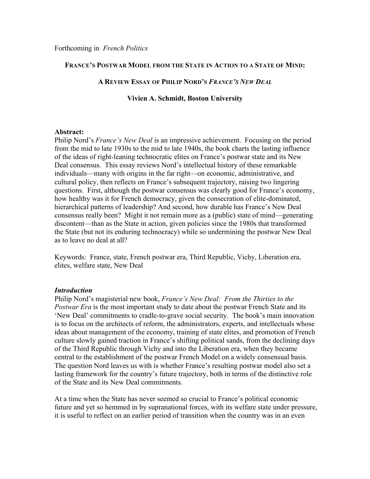Forthcoming in *French Politics*

## **FRANCE'S POSTWAR MODEL FROM THE STATE IN ACTION TO A STATE OF MIND:**

# **A REVIEW ESSAY OF PHILIP NORD'S** *FRANCE'S NEW DEAL*

## **Vivien A. Schmidt, Boston University**

### **Abstract:**

Philip Nord's *France's New Deal* is an impressive achievement. Focusing on the period from the mid to late 1930s to the mid to late 1940s, the book charts the lasting influence of the ideas of right-leaning technocratic elites on France's postwar state and its New Deal consensus. This essay reviews Nord's intellectual history of these remarkable individuals—many with origins in the far right—on economic, administrative, and cultural policy, then reflects on France's subsequent trajectory, raising two lingering questions. First, although the postwar consensus was clearly good for France's economy, how healthy was it for French democracy, given the consecration of elite-dominated, hierarchical patterns of leadership? And second, how durable has France's New Deal consensus really been? Might it not remain more as a (public) state of mind—generating discontent—than as the State in action, given policies since the 1980s that transformed the State (but not its enduring technocracy) while so undermining the postwar New Deal as to leave no deal at all?

Keywords: France, state, French postwar era, Third Republic, Vichy, Liberation era, elites, welfare state, New Deal

## *Introduction*

Philip Nord's magisterial new book, *France's New Deal: From the Thirties to the Postwar Era* is the most important study to date about the postwar French State and its 'New Deal' commitments to cradle-to-grave social security. The book's main innovation is to focus on the architects of reform, the administrators, experts, and intellectuals whose ideas about management of the economy, training of state elites, and promotion of French culture slowly gained traction in France's shifting political sands, from the declining days of the Third Republic through Vichy and into the Liberation era, when they became central to the establishment of the postwar French Model on a widely consensual basis. The question Nord leaves us with is whether France's resulting postwar model also set a lasting framework for the country's future trajectory, both in terms of the distinctive role of the State and its New Deal commitments.

At a time when the State has never seemed so crucial to France's political economic future and yet so hemmed in by supranational forces, with its welfare state under pressure, it is useful to reflect on an earlier period of transition when the country was in an even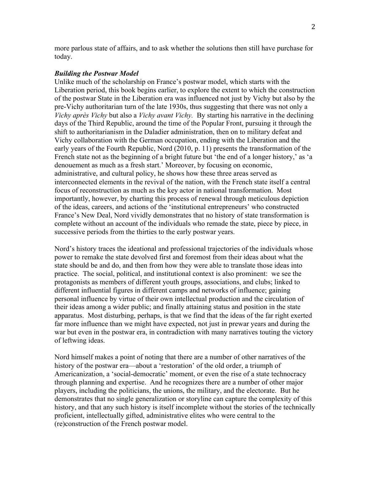more parlous state of affairs, and to ask whether the solutions then still have purchase for today.

### *Building the Postwar Model*

Unlike much of the scholarship on France's postwar model, which starts with the Liberation period, this book begins earlier, to explore the extent to which the construction of the postwar State in the Liberation era was influenced not just by Vichy but also by the pre-Vichy authoritarian turn of the late 1930s, thus suggesting that there was not only a *Vichy après Vichy* but also a *Vichy avant Vichy.* By starting his narrative in the declining days of the Third Republic, around the time of the Popular Front, pursuing it through the shift to authoritarianism in the Daladier administration, then on to military defeat and Vichy collaboration with the German occupation, ending with the Liberation and the early years of the Fourth Republic, Nord (2010, p. 11) presents the transformation of the French state not as the beginning of a bright future but 'the end of a longer history,' as 'a denouement as much as a fresh start.' Moreover, by focusing on economic, administrative, and cultural policy, he shows how these three areas served as interconnected elements in the revival of the nation, with the French state itself a central focus of reconstruction as much as the key actor in national transformation. Most importantly, however, by charting this process of renewal through meticulous depiction of the ideas, careers, and actions of the 'institutional entrepreneurs' who constructed France's New Deal, Nord vividly demonstrates that no history of state transformation is complete without an account of the individuals who remade the state, piece by piece, in successive periods from the thirties to the early postwar years.

Nord's history traces the ideational and professional trajectories of the individuals whose power to remake the state devolved first and foremost from their ideas about what the state should be and do, and then from how they were able to translate those ideas into practice. The social, political, and institutional context is also prominent: we see the protagonists as members of different youth groups, associations, and clubs; linked to different influential figures in different camps and networks of influence; gaining personal influence by virtue of their own intellectual production and the circulation of their ideas among a wider public; and finally attaining status and position in the state apparatus. Most disturbing, perhaps, is that we find that the ideas of the far right exerted far more influence than we might have expected, not just in prewar years and during the war but even in the postwar era, in contradiction with many narratives touting the victory of leftwing ideas.

Nord himself makes a point of noting that there are a number of other narratives of the history of the postwar era—about a 'restoration' of the old order, a triumph of Americanization, a 'social-democratic' moment, or even the rise of a state technocracy through planning and expertise. And he recognizes there are a number of other major players, including the politicians, the unions, the military, and the electorate. But he demonstrates that no single generalization or storyline can capture the complexity of this history, and that any such history is itself incomplete without the stories of the technically proficient, intellectually gifted, administrative elites who were central to the (re)construction of the French postwar model.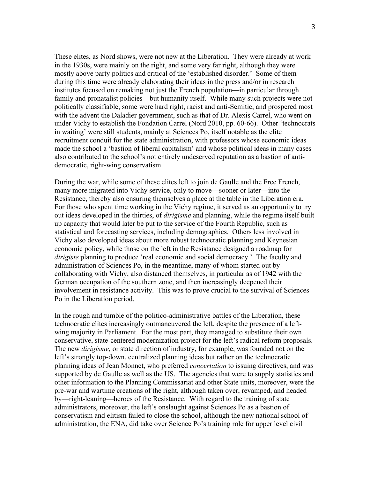These elites, as Nord shows, were not new at the Liberation. They were already at work in the 1930s, were mainly on the right, and some very far right, although they were mostly above party politics and critical of the 'established disorder.' Some of them during this time were already elaborating their ideas in the press and/or in research institutes focused on remaking not just the French population—in particular through family and pronatalist policies—but humanity itself. While many such projects were not politically classifiable, some were hard right, racist and anti-Semitic, and prospered most with the advent the Daladier government, such as that of Dr. Alexis Carrel, who went on under Vichy to establish the Fondation Carrel (Nord 2010, pp. 60-66). Other 'technocrats in waiting' were still students, mainly at Sciences Po, itself notable as the elite recruitment conduit for the state administration, with professors whose economic ideas made the school a 'bastion of liberal capitalism' and whose political ideas in many cases also contributed to the school's not entirely undeserved reputation as a bastion of antidemocratic, right-wing conservatism.

During the war, while some of these elites left to join de Gaulle and the Free French, many more migrated into Vichy service, only to move—sooner or later—into the Resistance, thereby also ensuring themselves a place at the table in the Liberation era. For those who spent time working in the Vichy regime, it served as an opportunity to try out ideas developed in the thirties, of *dirigisme* and planning, while the regime itself built up capacity that would later be put to the service of the Fourth Republic, such as statistical and forecasting services, including demographics. Others less involved in Vichy also developed ideas about more robust technocratic planning and Keynesian economic policy, while those on the left in the Resistance designed a roadmap for *dirigiste* planning to produce 'real economic and social democracy.' The faculty and administration of Sciences Po, in the meantime, many of whom started out by collaborating with Vichy, also distanced themselves, in particular as of 1942 with the German occupation of the southern zone, and then increasingly deepened their involvement in resistance activity. This was to prove crucial to the survival of Sciences Po in the Liberation period.

In the rough and tumble of the politico-administrative battles of the Liberation, these technocratic elites increasingly outmaneuvered the left, despite the presence of a leftwing majority in Parliament. For the most part, they managed to substitute their own conservative, state-centered modernization project for the left's radical reform proposals. The new *dirigisme,* or state direction of industry, for example, was founded not on the left's strongly top-down, centralized planning ideas but rather on the technocratic planning ideas of Jean Monnet, who preferred *concertation* to issuing directives, and was supported by de Gaulle as well as the US. The agencies that were to supply statistics and other information to the Planning Commissariat and other State units, moreover, were the pre-war and wartime creations of the right, although taken over, revamped, and headed by—right-leaning—heroes of the Resistance. With regard to the training of state administrators, moreover, the left's onslaught against Sciences Po as a bastion of conservatism and elitism failed to close the school, although the new national school of administration, the ENA, did take over Science Po's training role for upper level civil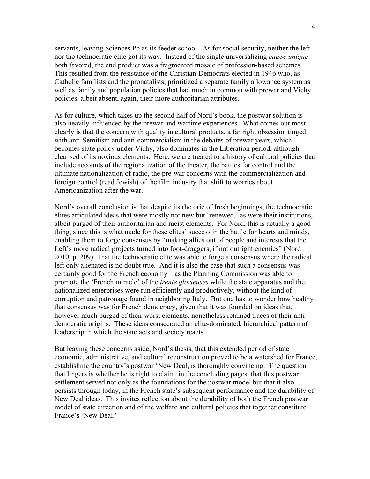servants, leaving Sciences Po as its feeder school. As for social security, neither the left nor the technocratic elite got its way. Instead of the single universalizing *caisse unique* both favored, the end product was a fragmented mosaic of profession-based schemes. This resulted from the resistance of the Christian-Democrats elected in 1946 who, as Catholic familists and the pronatalists, prioritized a separate family allowance system as well as family and population policies that had much in common with prewar and Vichy policies, albeit absent, again, their more authoritarian attributes.

As for culture, which takes up the second half of Nord's book, the postwar solution is also heavily influenced by the prewar and wartime experiences. What comes out most clearly is that the concern with quality in cultural products, a far right obsession tinged with anti-Semitism and anti-commercialism in the debates of prewar years, which becomes state policy under Vichy, also dominates in the Liberation period, although cleansed of its noxious elements. Here, we are treated to a history of cultural policies that include accounts of the regionalization of the theater, the battles for control and the ultimate nationalization of radio, the pre-war concerns with the commercialization and foreign control (read Jewish) of the film industry that shift to worries about Americanization after the war.

Nord's overall conclusion is that despite its rhetoric of fresh beginnings, the technocratic elites articulated ideas that were mostly not new but 'renewed,' as were their institutions, albeit purged of their authoritarian and racist elements. For Nord, this is actually a good thing, since this is what made for these elites' success in the battle for hearts and minds, enabling them to forge consensus by "making allies out of people and interests that the Left's more radical projects turned into foot-draggers, if not outright enemies" (Nord 2010, p. 209). That the technocratic elite was able to forge a consensus where the radical left only alienated is no doubt true. And it is also the case that such a consensus was certainly good for the French economy—as the Planning Commission was able to promote the 'French miracle' of the *trente glorieuses* while the state apparatus and the nationalized enterprises were run efficiently and productively, without the kind of corruption and patronage found in neighboring Italy. But one has to wonder how healthy that consensus was for French democracy, given that it was founded on ideas that, however much purged of their worst elements, nonetheless retained traces of their antidemocratic origins. These ideas consecrated an elite-dominated, hierarchical pattern of leadership in which the state acts and society reacts.

But leaving these concerns aside, Nord's thesis, that this extended period of state economic, administrative, and cultural reconstruction proved to be a watershed for France, establishing the country's postwar 'New Deal, is thoroughly convincing. The question that lingers is whether he is right to claim, in the concluding pages, that this postwar settlement served not only as the foundations for the postwar model but that it also persists through today, in the French state's subsequent performance and the durability of New Deal ideas. This invites reflection about the durability of both the French postwar model of state direction and of the welfare and cultural policies that together constitute France's 'New Deal.'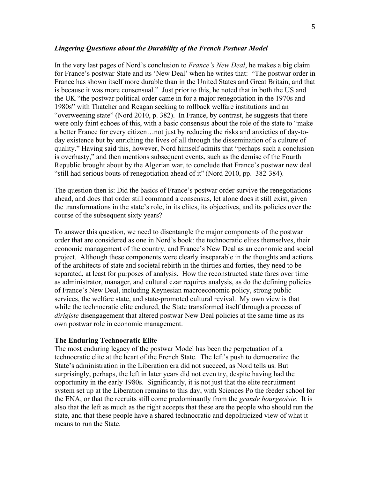### *Lingering Questions about the Durability of the French Postwar Model*

In the very last pages of Nord's conclusion to *France's New Deal*, he makes a big claim for France's postwar State and its 'New Deal' when he writes that: "The postwar order in France has shown itself more durable than in the United States and Great Britain, and that is because it was more consensual." Just prior to this, he noted that in both the US and the UK "the postwar political order came in for a major renegotiation in the 1970s and 1980s" with Thatcher and Reagan seeking to rollback welfare institutions and an "overweening state" (Nord 2010, p. 382). In France, by contrast, he suggests that there were only faint echoes of this, with a basic consensus about the role of the state to "make a better France for every citizen…not just by reducing the risks and anxieties of day-today existence but by enriching the lives of all through the dissemination of a culture of quality." Having said this, however, Nord himself admits that "perhaps such a conclusion is overhasty," and then mentions subsequent events, such as the demise of the Fourth Republic brought about by the Algerian war, to conclude that France's postwar new deal "still had serious bouts of renegotiation ahead of it" (Nord 2010, pp. 382-384).

The question then is: Did the basics of France's postwar order survive the renegotiations ahead, and does that order still command a consensus, let alone does it still exist, given the transformations in the state's role, in its elites, its objectives, and its policies over the course of the subsequent sixty years?

To answer this question, we need to disentangle the major components of the postwar order that are considered as one in Nord's book: the technocratic elites themselves, their economic management of the country, and France's New Deal as an economic and social project. Although these components were clearly inseparable in the thoughts and actions of the architects of state and societal rebirth in the thirties and forties, they need to be separated, at least for purposes of analysis. How the reconstructed state fares over time as administrator, manager, and cultural czar requires analysis, as do the defining policies of France's New Deal, including Keynesian macroeconomic policy, strong public services, the welfare state, and state-promoted cultural revival. My own view is that while the technocratic elite endured, the State transformed itself through a process of *dirigiste* disengagement that altered postwar New Deal policies at the same time as its own postwar role in economic management.

### **The Enduring Technocratic Elite**

The most enduring legacy of the postwar Model has been the perpetuation of a technocratic elite at the heart of the French State. The left's push to democratize the State's administration in the Liberation era did not succeed, as Nord tells us. But surprisingly, perhaps, the left in later years did not even try, despite having had the opportunity in the early 1980s. Significantly, it is not just that the elite recruitment system set up at the Liberation remains to this day, with Sciences Po the feeder school for the ENA, or that the recruits still come predominantly from the *grande bourgeoisie*. It is also that the left as much as the right accepts that these are the people who should run the state, and that these people have a shared technocratic and depoliticized view of what it means to run the State.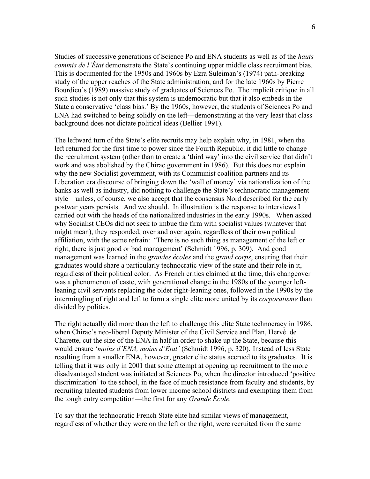Studies of successive generations of Science Po and ENA students as well as of the *hauts commis de l'État* demonstrate the State's continuing upper middle class recruitment bias. This is documented for the 1950s and 1960s by Ezra Suleiman's (1974) path-breaking study of the upper reaches of the State administration, and for the late 1960s by Pierre Bourdieu's (1989) massive study of graduates of Sciences Po. The implicit critique in all such studies is not only that this system is undemocratic but that it also embeds in the State a conservative 'class bias.' By the 1960s, however, the students of Sciences Po and ENA had switched to being solidly on the left—demonstrating at the very least that class background does not dictate political ideas (Bellier 1991).

The leftward turn of the State's elite recruits may help explain why, in 1981, when the left returned for the first time to power since the Fourth Republic, it did little to change the recruitment system (other than to create a 'third way' into the civil service that didn't work and was abolished by the Chirac government in 1986). But this does not explain why the new Socialist government, with its Communist coalition partners and its Liberation era discourse of bringing down the 'wall of money' via nationalization of the banks as well as industry, did nothing to challenge the State's technocratic management style—unless, of course, we also accept that the consensus Nord described for the early postwar years persists. And we should. In illustration is the response to interviews I carried out with the heads of the nationalized industries in the early 1990s. When asked why Socialist CEOs did not seek to imbue the firm with socialist values (whatever that might mean), they responded, over and over again, regardless of their own political affiliation, with the same refrain: 'There is no such thing as management of the left or right, there is just good or bad management' (Schmidt 1996, p. 309). And good management was learned in the *grandes écoles* and the *grand corps*, ensuring that their graduates would share a particularly technocratic view of the state and their role in it, regardless of their political color. As French critics claimed at the time, this changeover was a phenomenon of caste, with generational change in the 1980s of the younger leftleaning civil servants replacing the older right-leaning ones, followed in the 1990s by the intermingling of right and left to form a single elite more united by its *corporatisme* than divided by politics.

The right actually did more than the left to challenge this elite State technocracy in 1986, when Chirac's neo-liberal Deputy Minister of the Civil Service and Plan, Hervé de Charette, cut the size of the ENA in half in order to shake up the State, because this would ensure '*moins d'ENA, moins d'État'* (Schmidt 1996, p. 320).Instead of less State resulting from a smaller ENA, however, greater elite status accrued to its graduates*.* It is telling that it was only in 2001 that some attempt at opening up recruitment to the more disadvantaged student was initiated at Sciences Po, when the director introduced 'positive discrimination' to the school, in the face of much resistance from faculty and students, by recruiting talented students from lower income school districts and exempting them from the tough entry competition—the first for any *Grande École.*

To say that the technocratic French State elite had similar views of management, regardless of whether they were on the left or the right, were recruited from the same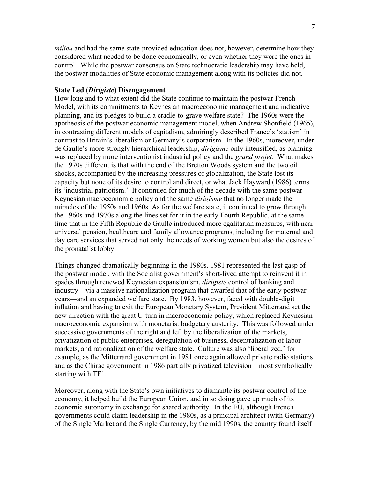*milieu* and had the same state-provided education does not, however, determine how they considered what needed to be done economically, or even whether they were the ones in control. While the postwar consensus on State technocratic leadership may have held, the postwar modalities of State economic management along with its policies did not.

### **State Led (***Dirigiste***) Disengagement**

How long and to what extent did the State continue to maintain the postwar French Model, with its commitments to Keynesian macroeconomic management and indicative planning, and its pledges to build a cradle-to-grave welfare state? The 1960s were the apotheosis of the postwar economic management model, when Andrew Shonfield (1965), in contrasting different models of capitalism, admiringly described France's 'statism' in contrast to Britain's liberalism or Germany's corporatism. In the 1960s, moreover, under de Gaulle's more strongly hierarchical leadership, *dirigisme* only intensified, as planning was replaced by more interventionist industrial policy and the *grand projet*. What makes the 1970s different is that with the end of the Bretton Woods system and the two oil shocks, accompanied by the increasing pressures of globalization, the State lost its capacity but none of its desire to control and direct, or what Jack Hayward (1986) terms its 'industrial patriotism.' It continued for much of the decade with the same postwar Keynesian macroeconomic policy and the same *dirigisme* that no longer made the miracles of the 1950s and 1960s. As for the welfare state, it continued to grow through the 1960s and 1970s along the lines set for it in the early Fourth Republic, at the same time that in the Fifth Republic de Gaulle introduced more egalitarian measures, with near universal pension, healthcare and family allowance programs, including for maternal and day care services that served not only the needs of working women but also the desires of the pronatalist lobby.

Things changed dramatically beginning in the 1980s. 1981 represented the last gasp of the postwar model, with the Socialist government's short-lived attempt to reinvent it in spades through renewed Keynesian expansionism, *dirigiste* control of banking and industry—via a massive nationalization program that dwarfed that of the early postwar years—and an expanded welfare state. By 1983, however, faced with double-digit inflation and having to exit the European Monetary System, President Mitterrand set the new direction with the great U-turn in macroeconomic policy, which replaced Keynesian macroeconomic expansion with monetarist budgetary austerity. This was followed under successive governments of the right and left by the liberalization of the markets, privatization of public enterprises, deregulation of business, decentralization of labor markets, and rationalization of the welfare state. Culture was also 'liberalized,' for example, as the Mitterrand government in 1981 once again allowed private radio stations and as the Chirac government in 1986 partially privatized television—most symbolically starting with TF1.

Moreover, along with the State's own initiatives to dismantle its postwar control of the economy, it helped build the European Union, and in so doing gave up much of its economic autonomy in exchange for shared authority. In the EU, although French governments could claim leadership in the 1980s, as a principal architect (with Germany) of the Single Market and the Single Currency, by the mid 1990s, the country found itself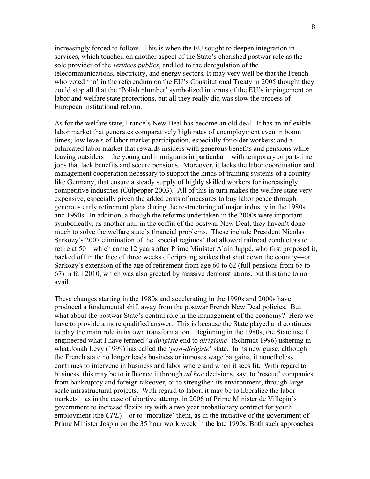increasingly forced to follow. This is when the EU sought to deepen integration in services, which touched on another aspect of the State's cherished postwar role as the sole provider of the *services publics*, and led to the deregulation of the telecommunications, electricity, and energy sectors. It may very well be that the French who voted 'no' in the referendum on the EU's Constitutional Treaty in 2005 thought they could stop all that the 'Polish plumber' symbolized in terms of the EU's impingement on labor and welfare state protections, but all they really did was slow the process of European institutional reform.

As for the welfare state, France's New Deal has become an old deal. It has an inflexible labor market that generates comparatively high rates of unemployment even in boom times; low levels of labor market participation, especially for older workers; and a bifurcated labor market that rewards insiders with generous benefits and pensions while leaving outsiders—the young and immigrants in particular—with temporary or part-time jobs that lack benefits and secure pensions. Moreover, it lacks the labor coordination and management cooperation necessary to support the kinds of training systems of a country like Germany, that ensure a steady supply of highly skilled workers for increasingly competitive industries (Culpepper 2003). All of this in turn makes the welfare state very expensive, especially given the added costs of measures to buy labor peace through generous early retirement plans during the restructuring of major industry in the 1980s and 1990s. In addition, although the reforms undertaken in the 2000s were important symbolically, as another nail in the coffin of the postwar New Deal, they haven't done much to solve the welfare state's financial problems. These include President Nicolas Sarkozy's 2007 elimination of the 'special regimes' that allowed railroad conductors to retire at 50—which came 12 years after Prime Minister Alain Juppé, who first proposed it, backed off in the face of three weeks of crippling strikes that shut down the country—or Sarkozy's extension of the age of retirement from age 60 to 62 (full pensions from 65 to 67) in fall 2010, which was also greeted by massive demonstrations, but this time to no avail.

These changes starting in the 1980s and accelerating in the 1990s and 2000s have produced a fundamental shift away from the postwar French New Deal policies. But what about the postwar State's central role in the management of the economy? Here we have to provide a more qualified answer. This is because the State played and continues to play the main role in its own transformation. Beginning in the 1980s, the State itself engineered what I have termed "a *dirigiste* end to *dirigisme*" (Schmidt 1996) ushering in what Jonah Levy (1999) has called the '*post-dirigiste*' state. In its new guise, although the French state no longer leads business or imposes wage bargains, it nonetheless continues to intervene in business and labor where and when it sees fit. With regard to business, this may be to influence it through *ad hoc* decisions, say, to 'rescue' companies from bankruptcy and foreign takeover, or to strengthen its environment, through large scale infrastructural projects. With regard to labor, it may be to liberalize the labor markets—as in the case of abortive attempt in 2006 of Prime Minister de Villepin's government to increase flexibility with a two year probationary contract for youth employment (the *CPE*)—or to 'moralize' them, as in the initiative of the government of Prime Minister Jospin on the 35 hour work week in the late 1990s. Both such approaches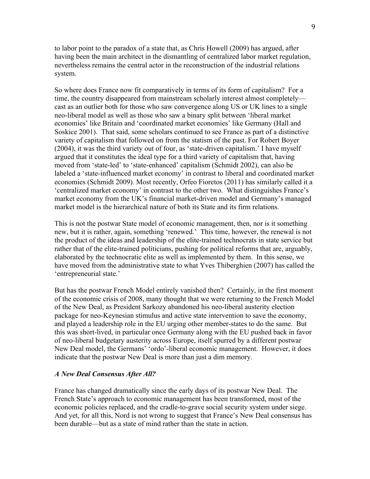to labor point to the paradox of a state that, as Chris Howell (2009) has argued, after having been the main architect in the dismantling of centralized labor market regulation, nevertheless remains the central actor in the reconstruction of the industrial relations system.

So where does France now fit comparatively in terms of its form of capitalism? For a time, the country disappeared from mainstream scholarly interest almost completely cast as an outlier both for those who saw convergence along US or UK lines to a single neo-liberal model as well as those who saw a binary split between 'liberal market economies' like Britain and 'coordinated market economies' like Germany (Hall and Soskice 2001). That said, some scholars continued to see France as part of a distinctive variety of capitalism that followed on from the statism of the past. For Robert Boyer (2004), it was the third variety out of four, as 'state-driven capitalism.' I have myself argued that it constitutes the ideal type for a third variety of capitalism that, having moved from 'state-led' to 'state-enhanced' capitalism (Schmidt 2002), can also be labeled a 'state-influenced market economy' in contrast to liberal and coordinated market economies (Schmidt 2009). Most recently, Orfeo Fioretos (2011) has similarly called it a 'centralized market economy' in contrast to the other two. What distinguishes France's market economy from the UK's financial market-driven model and Germany's managed market model is the hierarchical nature of both its State and its firm relations.

This is not the postwar State model of economic management, then, nor is it something new, but it is rather, again, something 'renewed.' This time, however, the renewal is not the product of the ideas and leadership of the elite-trained technocrats in state service but rather that of the elite-trained politicians, pushing for political reforms that are, arguably, elaborated by the technocratic elite as well as implemented by them. In this sense, we have moved from the administrative state to what Yves Thiberghien (2007) has called the 'entrepreneurial state.'

But has the postwar French Model entirely vanished then? Certainly, in the first moment of the economic crisis of 2008, many thought that we were returning to the French Model of the New Deal, as President Sarkozy abandoned his neo-liberal austerity election package for neo-Keynesian stimulus and active state intervention to save the economy, and played a leadership role in the EU urging other member-states to do the same. But this was short-lived, in particular once Germany along with the EU pushed back in favor of neo-liberal budgetary austerity across Europe, itself spurred by a different postwar New Deal model, the Germans' 'ordo'-liberal economic management. However, it does indicate that the postwar New Deal is more than just a dim memory.

## *A New Deal Consensus After All?*

France has changed dramatically since the early days of its postwar New Deal. The French State's approach to economic management has been transformed, most of the economic policies replaced, and the cradle-to-grave social security system under siege. And yet, for all this, Nord is not wrong to suggest that France's New Deal consensus has been durable—but as a state of mind rather than the state in action.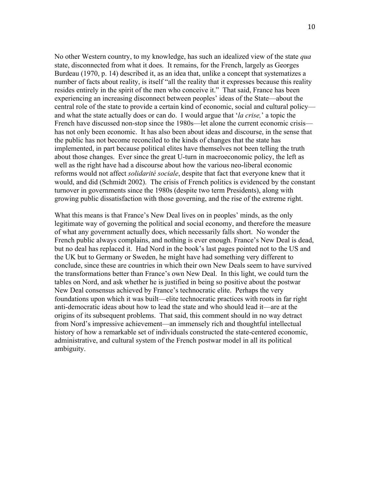No other Western country, to my knowledge, has such an idealized view of the state *qua* state, disconnected from what it does. It remains, for the French, largely as Georges Burdeau (1970, p. 14) described it, as an idea that, unlike a concept that systematizes a number of facts about reality, is itself "all the reality that it expresses because this reality resides entirely in the spirit of the men who conceive it." That said, France has been experiencing an increasing disconnect between peoples' ideas of the State—about the central role of the state to provide a certain kind of economic, social and cultural policy and what the state actually does or can do. I would argue that '*la crise,*' a topic the French have discussed non-stop since the 1980s—let alone the current economic crisis has not only been economic. It has also been about ideas and discourse, in the sense that the public has not become reconciled to the kinds of changes that the state has implemented, in part because political elites have themselves not been telling the truth about those changes. Ever since the great U-turn in macroeconomic policy, the left as well as the right have had a discourse about how the various neo-liberal economic reforms would not affect *solidarité sociale*, despite that fact that everyone knew that it would, and did (Schmidt 2002). The crisis of French politics is evidenced by the constant turnover in governments since the 1980s (despite two term Presidents), along with growing public dissatisfaction with those governing, and the rise of the extreme right.

What this means is that France's New Deal lives on in peoples' minds, as the only legitimate way of governing the political and social economy, and therefore the measure of what any government actually does, which necessarily falls short. No wonder the French public always complains, and nothing is ever enough. France's New Deal is dead, but no deal has replaced it. Had Nord in the book's last pages pointed not to the US and the UK but to Germany or Sweden, he might have had something very different to conclude, since these are countries in which their own New Deals seem to have survived the transformations better than France's own New Deal. In this light, we could turn the tables on Nord, and ask whether he is justified in being so positive about the postwar New Deal consensus achieved by France's technocratic elite. Perhaps the very foundations upon which it was built—elite technocratic practices with roots in far right anti-democratic ideas about how to lead the state and who should lead it—are at the origins of its subsequent problems. That said, this comment should in no way detract from Nord's impressive achievement—an immensely rich and thoughtful intellectual history of how a remarkable set of individuals constructed the state-centered economic, administrative, and cultural system of the French postwar model in all its political ambiguity.